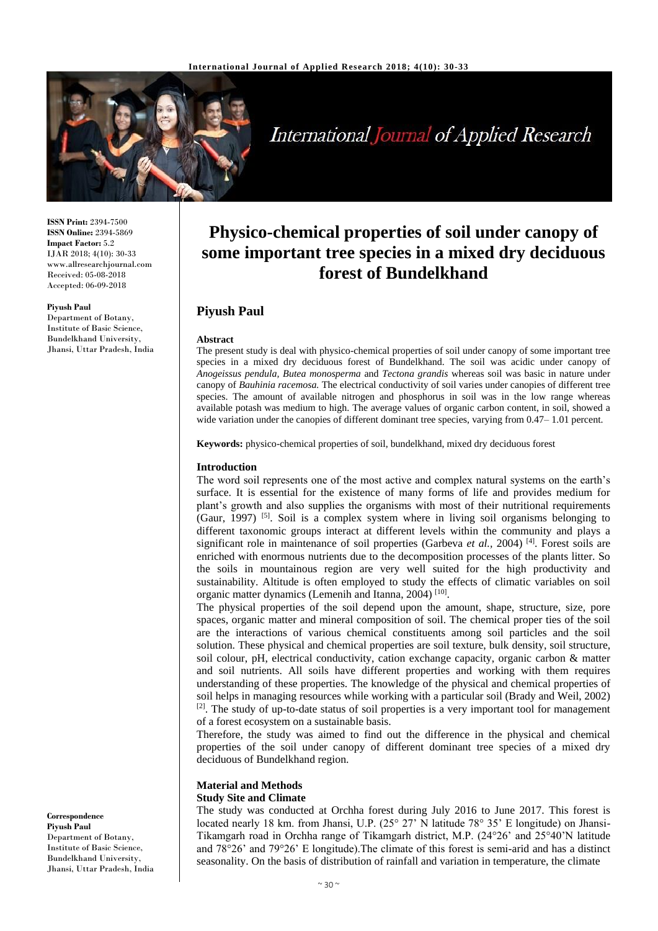

# **International Journal of Applied Research**

**Physico-chemical properties of soil under canopy of some important tree species in a mixed dry deciduous forest of Bundelkhand**

The present study is deal with physico-chemical properties of soil under canopy of some important tree species in a mixed dry deciduous forest of Bundelkhand. The soil was acidic under canopy of *Anogeissus pendula, Butea monosperma* and *Tectona grandis* whereas soil was basic in nature under canopy of *Bauhinia racemosa.* The electrical conductivity of soil varies under canopies of different tree species. The amount of available nitrogen and phosphorus in soil was in the low range whereas available potash was medium to high. The average values of organic carbon content, in soil, showed a wide variation under the canopies of different dominant tree species, varying from 0.47–1.01 percent.

**ISSN Print:** 2394-7500 **ISSN Online:** 2394-5869 **Impact Factor:** 5.2 IJAR 2018; 4(10): 30-33 www.allresearchjournal.com Received: 05-08-2018 Accepted: 06-09-2018

## **Piyush Paul**

Department of Botany, Institute of Basic Science, Bundelkhand University, Jhansi, Uttar Pradesh, India

**Keywords:** physico-chemical properties of soil, bundelkhand, mixed dry deciduous forest

## **Introduction**

**Piyush Paul**

**Abstract**

The word soil represents one of the most active and complex natural systems on the earth's surface. It is essential for the existence of many forms of life and provides medium for plant's growth and also supplies the organisms with most of their nutritional requirements (Gaur, 1997) [5]. Soil is a complex system where in living soil organisms belonging to different taxonomic groups interact at different levels within the community and plays a significant role in maintenance of soil properties (Garbeva *et al.,* 2004) [4]. Forest soils are enriched with enormous nutrients due to the decomposition processes of the plants litter. So the soils in mountainous region are very well suited for the high productivity and sustainability. Altitude is often employed to study the effects of climatic variables on soil organic matter dynamics (Lemenih and Itanna, 2004)<sup>[10]</sup>.

The physical properties of the soil depend upon the amount, shape, structure, size, pore spaces, organic matter and mineral composition of soil. The chemical proper ties of the soil are the interactions of various chemical constituents among soil particles and the soil solution. These physical and chemical properties are soil texture, bulk density, soil structure, soil colour, pH, electrical conductivity, cation exchange capacity, organic carbon & matter and soil nutrients. All soils have different properties and working with them requires understanding of these properties. The knowledge of the physical and chemical properties of soil helps in managing resources while working with a particular soil (Brady and Weil, 2002) [2]. The study of up-to-date status of soil properties is a very important tool for management of a forest ecosystem on a sustainable basis.

Therefore, the study was aimed to find out the difference in the physical and chemical properties of the soil under canopy of different dominant tree species of a mixed dry deciduous of Bundelkhand region.

#### **Material and Methods Study Site and Climate**

The study was conducted at Orchha forest during July 2016 to June 2017. This forest is located nearly 18 km. from Jhansi, U.P. (25° 27' N latitude 78° 35' E longitude) on Jhansi-Tikamgarh road in Orchha range of Tikamgarh district, M.P. (24°26' and 25°40'N latitude and 78°26' and 79°26' E longitude).The climate of this forest is semi-arid and has a distinct seasonality. On the basis of distribution of rainfall and variation in temperature, the climate

**Correspondence Piyush Paul** Department of Botany, Institute of Basic Science, Bundelkhand University, Jhansi, Uttar Pradesh, India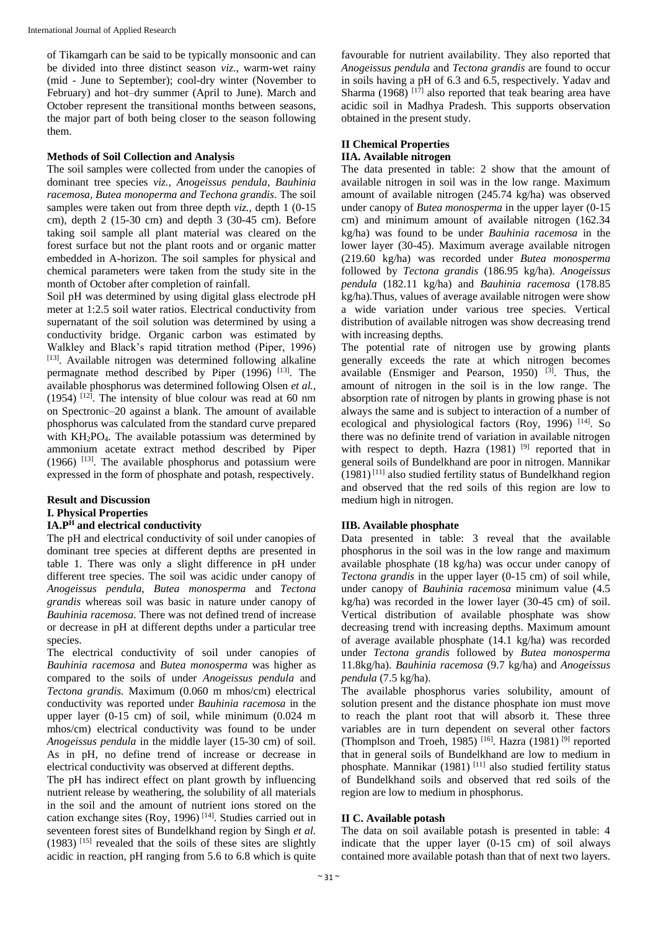of Tikamgarh can be said to be typically monsoonic and can be divided into three distinct season *viz*., warm-wet rainy (mid - June to September); cool-dry winter (November to February) and hot–dry summer (April to June). March and October represent the transitional months between seasons, the major part of both being closer to the season following them.

# **Methods of Soil Collection and Analysis**

The soil samples were collected from under the canopies of dominant tree species *viz., Anogeissus pendula, Bauhinia racemosa, Butea monoperma and Techona grandis*. The soil samples were taken out from three depth *viz.*, depth 1 (0-15 cm), depth 2 (15-30 cm) and depth 3 (30-45 cm). Before taking soil sample all plant material was cleared on the forest surface but not the plant roots and or organic matter embedded in A-horizon. The soil samples for physical and chemical parameters were taken from the study site in the month of October after completion of rainfall.

Soil pH was determined by using digital glass electrode pH meter at 1:2.5 soil water ratios. Electrical conductivity from supernatant of the soil solution was determined by using a conductivity bridge. Organic carbon was estimated by Walkley and Black's rapid titration method (Piper, 1996) [13]. Available nitrogen was determined following alkaline permagnate method described by Piper (1996) [13]. The available phosphorus was determined following Olsen *et al.,*  $(1954)$  <sup>[12]</sup>. The intensity of blue colour was read at 60 nm on Spectronic–20 against a blank. The amount of available phosphorus was calculated from the standard curve prepared with KH<sub>2</sub>PO<sub>4</sub>. The available potassium was determined by ammonium acetate extract method described by Piper (1966) [13]. The available phosphorus and potassium were expressed in the form of phosphate and potash, respectively.

# **Result and Discussion I. Physical Properties**

## **IA.P<sup>H</sup> and electrical conductivity**

The pH and electrical conductivity of soil under canopies of dominant tree species at different depths are presented in table 1. There was only a slight difference in pH under different tree species. The soil was acidic under canopy of *Anogeissus pendula, Butea monosperma* and *Tectona grandis* whereas soil was basic in nature under canopy of *Bauhinia racemosa*. There was not defined trend of increase or decrease in pH at different depths under a particular tree species.

The electrical conductivity of soil under canopies of *Bauhinia racemosa* and *Butea monosperma* was higher as compared to the soils of under *Anogeissus pendula* and *Tectona grandis.* Maximum (0.060 m mhos/cm) electrical conductivity was reported under *Bauhinia racemosa* in the upper layer (0-15 cm) of soil, while minimum (0.024 m mhos/cm) electrical conductivity was found to be under *Anogeissus pendula* in the middle layer (15-30 cm) of soil. As in pH, no define trend of increase or decrease in electrical conductivity was observed at different depths.

The pH has indirect effect on plant growth by influencing nutrient release by weathering, the solubility of all materials in the soil and the amount of nutrient ions stored on the cation exchange sites (Roy, 1996) [14] . Studies carried out in seventeen forest sites of Bundelkhand region by Singh *et al.*  $(1983)$ <sup>[15]</sup> revealed that the soils of these sites are slightly acidic in reaction, pH ranging from 5.6 to 6.8 which is quite favourable for nutrient availability. They also reported that *Anogeissus pendula* and *Tectona grandis* are found to occur in soils having a pH of 6.3 and 6.5, respectively. Yadav and Sharma (1968)  $\left[1\right]$  also reported that teak bearing area have acidic soil in Madhya Pradesh. This supports observation obtained in the present study.

# **II Chemical Properties**

# **IIA. Available nitrogen**

The data presented in table: 2 show that the amount of available nitrogen in soil was in the low range. Maximum amount of available nitrogen (245.74 kg/ha) was observed under canopy of *Butea monosperma* in the upper layer (0-15 cm) and minimum amount of available nitrogen (162.34 kg/ha) was found to be under *Bauhinia racemosa* in the lower layer (30-45). Maximum average available nitrogen (219.60 kg/ha) was recorded under *Butea monosperma* followed by *Tectona grandis* (186.95 kg/ha). *Anogeissus pendula* (182.11 kg/ha) and *Bauhinia racemosa* (178.85 kg/ha).Thus, values of average available nitrogen were show a wide variation under various tree species. Vertical distribution of available nitrogen was show decreasing trend with increasing depths.

The potential rate of nitrogen use by growing plants generally exceeds the rate at which nitrogen becomes available (Ensmiger and Pearson, 1950)  $^{[3]}$ . Thus, the amount of nitrogen in the soil is in the low range. The absorption rate of nitrogen by plants in growing phase is not always the same and is subject to interaction of a number of ecological and physiological factors (Roy, 1996) [14]. So there was no definite trend of variation in available nitrogen with respect to depth. Hazra  $(1981)$  <sup>[9]</sup> reported that in general soils of Bundelkhand are poor in nitrogen. Mannikar (1981) [11] also studied fertility status of Bundelkhand region and observed that the red soils of this region are low to medium high in nitrogen.

# **IIB. Available phosphate**

Data presented in table: 3 reveal that the available phosphorus in the soil was in the low range and maximum available phosphate (18 kg/ha) was occur under canopy of *Tectona grandis* in the upper layer (0-15 cm) of soil while, under canopy of *Bauhinia racemosa* minimum value (4.5 kg/ha) was recorded in the lower layer (30-45 cm) of soil. Vertical distribution of available phosphate was show decreasing trend with increasing depths. Maximum amount of average available phosphate (14.1 kg/ha) was recorded under *Tectona grandis* followed by *Butea monosperma* 11.8kg/ha). *Bauhinia racemosa* (9.7 kg/ha) and *Anogeissus pendula* (7.5 kg/ha).

The available phosphorus varies solubility, amount of solution present and the distance phosphate ion must move to reach the plant root that will absorb it. These three variables are in turn dependent on several other factors (Thomplson and Troeh, 1985)<sup>[16]</sup>. Hazra (1981)<sup>[9]</sup> reported that in general soils of Bundelkhand are low to medium in phosphate. Mannikar (1981) [11] also studied fertility status of Bundelkhand soils and observed that red soils of the region are low to medium in phosphorus.

# **II C. Available potash**

The data on soil available potash is presented in table: 4 indicate that the upper layer (0-15 cm) of soil always contained more available potash than that of next two layers.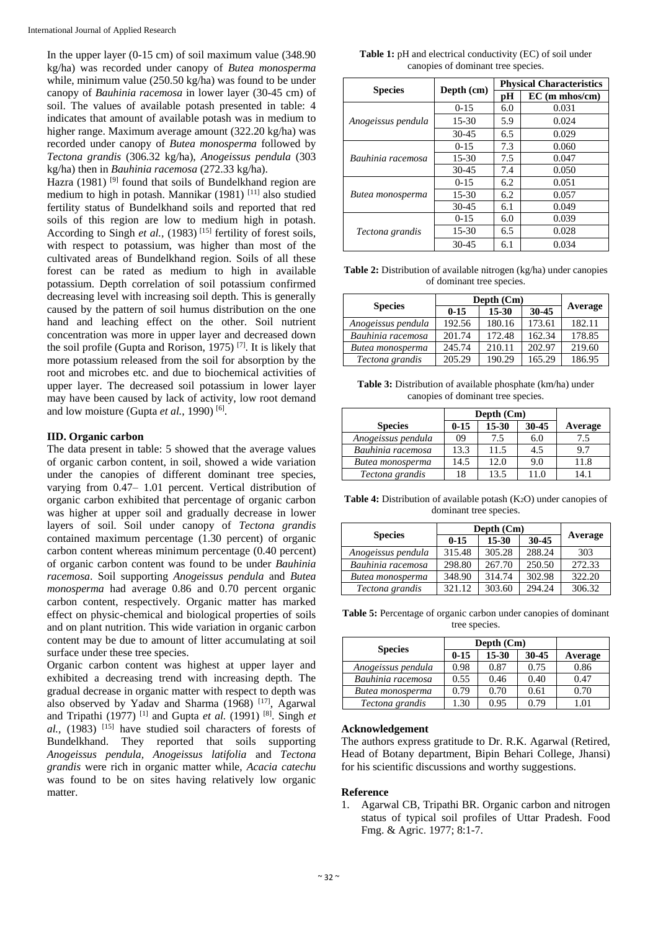In the upper layer (0-15 cm) of soil maximum value (348.90 kg/ha) was recorded under canopy of *Butea monosperma* while, minimum value (250.50 kg/ha) was found to be under canopy of *Bauhinia racemosa* in lower layer (30-45 cm) of soil. The values of available potash presented in table: 4 indicates that amount of available potash was in medium to higher range. Maximum average amount (322.20 kg/ha) was recorded under canopy of *Butea monosperma* followed by *Tectona grandis* (306.32 kg/ha), *Anogeissus pendula* (303 kg/ha) then in *Bauhinia racemosa* (272.33 kg/ha).

Hazra (1981)<sup>[9]</sup> found that soils of Bundelkhand region are medium to high in potash. Mannikar (1981) [11] also studied fertility status of Bundelkhand soils and reported that red soils of this region are low to medium high in potash. According to Singh *et al.*, (1983)<sup>[15]</sup> fertility of forest soils, with respect to potassium, was higher than most of the cultivated areas of Bundelkhand region. Soils of all these forest can be rated as medium to high in available potassium. Depth correlation of soil potassium confirmed decreasing level with increasing soil depth. This is generally caused by the pattern of soil humus distribution on the one hand and leaching effect on the other. Soil nutrient concentration was more in upper layer and decreased down the soil profile (Gupta and Rorison, 1975) [7]. It is likely that more potassium released from the soil for absorption by the root and microbes etc. and due to biochemical activities of upper layer. The decreased soil potassium in lower layer may have been caused by lack of activity, low root demand and low moisture (Gupta et al., 1990)<sup>[6]</sup>.

## **IID. Organic carbon**

The data present in table: 5 showed that the average values of organic carbon content, in soil, showed a wide variation under the canopies of different dominant tree species, varying from 0.47– 1.01 percent. Vertical distribution of organic carbon exhibited that percentage of organic carbon was higher at upper soil and gradually decrease in lower layers of soil. Soil under canopy of *Tectona grandis* contained maximum percentage (1.30 percent) of organic carbon content whereas minimum percentage (0.40 percent) of organic carbon content was found to be under *Bauhinia racemosa*. Soil supporting *Anogeissus pendula* and *Butea monosperma* had average 0.86 and 0.70 percent organic carbon content, respectively. Organic matter has marked effect on physic-chemical and biological properties of soils and on plant nutrition. This wide variation in organic carbon content may be due to amount of litter accumulating at soil surface under these tree species.

Organic carbon content was highest at upper layer and exhibited a decreasing trend with increasing depth. The gradual decrease in organic matter with respect to depth was also observed by Yadav and Sharma (1968)<sup>[17]</sup>, Agarwal and Tripathi (1977) [1] and Gupta *et al.* (1991) [8]. Singh *et al.*, (1983) <sup>[15]</sup> have studied soil characters of forests of Bundelkhand. They reported that soils supporting *Anogeissus pendula, Anogeissus latifolia* and *Tectona grandis* were rich in organic matter while, *Acacia catechu* was found to be on sites having relatively low organic matter.

Table 1: pH and electrical conductivity (EC) of soil under canopies of dominant tree species.

|                    |            | <b>Physical Characteristics</b> |                  |  |
|--------------------|------------|---------------------------------|------------------|--|
| <b>Species</b>     | Depth (cm) | рH                              | $EC$ (m mhos/cm) |  |
| Anogeissus pendula | $0 - 15$   | 6.0                             | 0.031            |  |
|                    | $15-30$    | 5.9                             | 0.024            |  |
|                    | $30 - 45$  | 6.5                             | 0.029            |  |
| Bauhinia racemosa  | $0 - 15$   | 7.3                             | 0.060            |  |
|                    | $15-30$    | 7.5                             | 0.047            |  |
|                    | $30-45$    | 7.4                             | 0.050            |  |
| Butea monosperma   | $0 - 15$   | 6.2                             | 0.051            |  |
|                    | 15-30      | 6.2                             | 0.057            |  |
|                    | 30-45      | 6.1                             | 0.049            |  |
| Tectona grandis    | $0 - 15$   | 6.0                             | 0.039            |  |
|                    | 15-30      | 6.5                             | 0.028            |  |
|                    | $30 - 45$  | 6.1                             | 0.034            |  |

**Table 2:** Distribution of available nitrogen (kg/ha) under canopies of dominant tree species.

|                    | Depth (Cm) |           |           |         |
|--------------------|------------|-----------|-----------|---------|
| <b>Species</b>     | $0 - 15$   | $15 - 30$ | $30 - 45$ | Average |
| Anogeissus pendula | 192.56     | 180.16    | 173.61    | 182.11  |
| Bauhinia racemosa  | 201.74     | 172.48    | 162.34    | 178.85  |
| Butea monosperma   | 245.74     | 210.11    | 202.97    | 219.60  |
| Tectona grandis    | 205.29     | 190.29    | 165.29    | 186.95  |

**Table 3:** Distribution of available phosphate (km/ha) under canopies of dominant tree species.

|                    | Depth (Cm) |           |           |         |
|--------------------|------------|-----------|-----------|---------|
| <b>Species</b>     | $0 - 15$   | $15 - 30$ | $30 - 45$ | Average |
| Anogeissus pendula | 09         | 7.5       | 6.0       | 7.5     |
| Bauhinia racemosa  | 13.3       | 11.5      | 4.5       | 9.7     |
| Butea monosperma   | 14.5       | 12.0      | 9.0       | 11.8    |
| Tectona grandis    | 18         | 13.5      | 11.0      |         |

**Table 4:** Distribution of available potash (K<sub>2</sub>O) under canopies of dominant tree species.

|                    | Depth (Cm) |           |        |         |
|--------------------|------------|-----------|--------|---------|
| <b>Species</b>     | $0 - 15$   | $15 - 30$ | 30-45  | Average |
| Anogeissus pendula | 315.48     | 305.28    | 288.24 | 303     |
| Bauhinia racemosa  | 298.80     | 267.70    | 250.50 | 272.33  |
| Butea monosperma   | 348.90     | 314.74    | 302.98 | 322.20  |
| Tectona grandis    | 321.12     | 303.60    | 294.24 | 306.32  |

**Table 5:** Percentage of organic carbon under canopies of dominant tree species.

| <b>Species</b>     | Depth (Cm) |       |       |         |
|--------------------|------------|-------|-------|---------|
|                    | $0 - 15$   | 15-30 | 30-45 | Average |
| Anogeissus pendula | 0.98       | 0.87  | 0.75  | 0.86    |
| Bauhinia racemosa  | 0.55       | 0.46  | 0.40  | 0.47    |
| Butea monosperma   | 0.79       | 0.70  | 0.61  | 0.70    |
| Tectona grandis    | 1.30       | 0.95  | 0.79  | 1.01    |

## **Acknowledgement**

The authors express gratitude to Dr. R.K. Agarwal (Retired, Head of Botany department, Bipin Behari College, Jhansi) for his scientific discussions and worthy suggestions.

## **Reference**

1. Agarwal CB, Tripathi BR. Organic carbon and nitrogen status of typical soil profiles of Uttar Pradesh. Food Fmg. & Agric. 1977; 8:1-7.